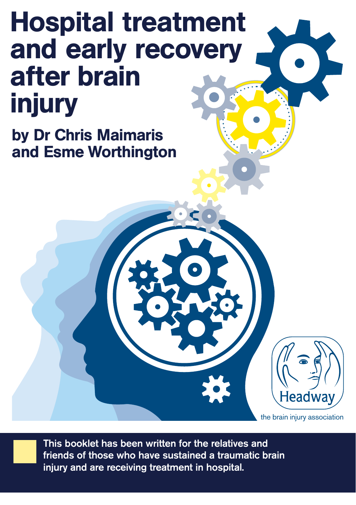# Hospital treatment and early recovery after brain injury

by Dr Chris Maimaris and Esme Worthington

the brain injury association

Headwa

**This booklet has been written for the relatives and friends of those who have sustained a traumatic brain injury and are receiving treatment in hospital.**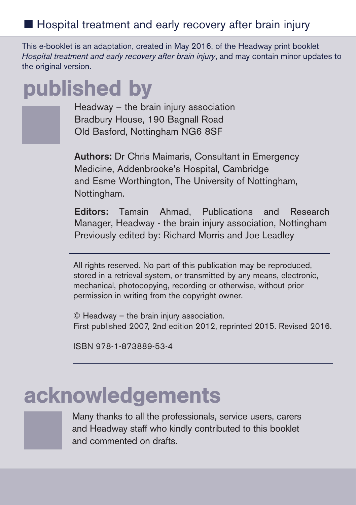This e-booklet is an adaptation, created in May 2016, of the Headway print booklet Hospital treatment and early recovery after brain injury, and may contain minor updates to the original version.

## published by



Headway – the brain injury association Bradbury House, 190 Bagnall Road Old Basford, Nottingham NG6 8SF

**Authors:** Dr Chris Maimaris, Consultant in Emergency Medicine, Addenbrooke's Hospital, Cambridge and Esme Worthington, The University of Nottingham, Nottingham.

**Editors:** Tamsin Ahmad, Publications and Research Manager, Headway - the brain injury association, Nottingham Previously edited by: Richard Morris and Joe Leadley

All rights reserved. No part of this publication may be reproduced, stored in a retrieval system, or transmitted by any means, electronic, mechanical, photocopying, recording or otherwise, without prior permission in writing from the copyright owner.

© Headway – the brain injury association. First published 2007, 2nd edition 2012, reprinted 2015. Revised 2016.

ISBN 978-1-873889-53-4

### acknowledgements

Many thanks to all the professionals, service users, carers and Headway staff who kindly contributed to this booklet and commented on drafts.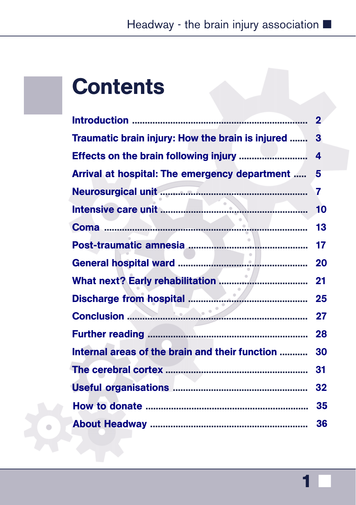## **Contents**

|                                                       | $\overline{2}$ |  |
|-------------------------------------------------------|----------------|--|
| Traumatic brain injury: How the brain is injured<br>3 |                |  |
| 4                                                     |                |  |
| Arrival at hospital: The emergency department<br>5    |                |  |
|                                                       | 7              |  |
|                                                       | 10             |  |
|                                                       |                |  |
|                                                       |                |  |
|                                                       | 20             |  |
|                                                       | 21             |  |
|                                                       |                |  |
|                                                       |                |  |
|                                                       | 28             |  |
| Internal areas of the brain and their function        | 30             |  |
|                                                       | 31             |  |
|                                                       | 32             |  |
|                                                       | 35             |  |
|                                                       | 36             |  |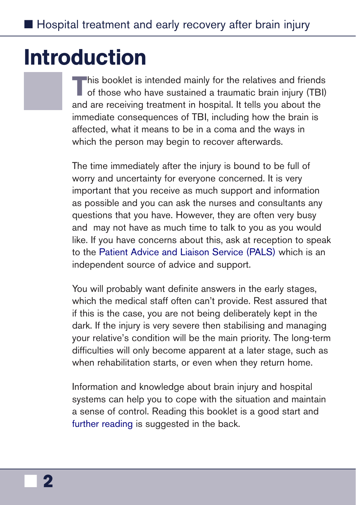## <span id="page-3-0"></span>Introduction

This booklet is intended mainly for the relatives and friends of those who have sustained a traumatic brain injury (TBI) and are receiving treatment in hospital. It tells you about the immediate consequences of TBI, including how the brain is affected, what it means to be in a coma and the ways in which the person may begin to recover afterwards.

The time immediately after the injury is bound to be full of worry and uncertainty for everyone concerned. It is very important that you receive as much support and information as possible and you can ask the nurses and consultants any questions that you have. However, they are often very busy and may not have as much time to talk to you as you would like. If you have concerns about this, ask at reception to speak to the [Patient Advice and Liaison Service \(PALS\)](http://www.nhs.uk/chq/pages/1082.aspx?CategoryID=68) which is an independent source of advice and support.

You will probably want definite answers in the early stages, which the medical staff often can't provide. Rest assured that if this is the case, you are not being deliberately kept in the dark. If the injury is very severe then stabilising and managing your relative's condition will be the main priority. The long-term difficulties will only become apparent at a later stage, such as when rehabilitation starts, or even when they return home.

Information and knowledge about brain injury and hospital systems can help you to cope with the situation and maintain a sense of control. Reading this booklet is a good start and [further reading](#page-29-0) is suggested in the back.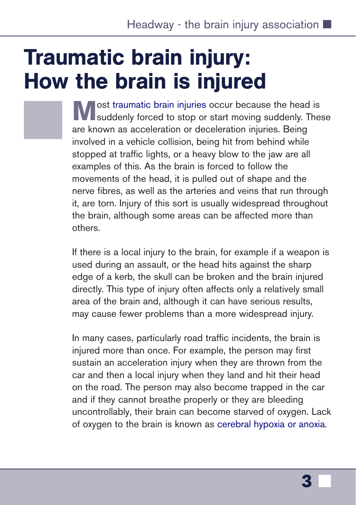# <span id="page-4-0"></span>Traumatic brain injury: How the brain is injured

**M** ost [traumatic brain injuries](https://www.headway.org.uk/about-brain-injury/individuals/types-of-brain-injury/traumatic-brain-injury/) occur because the head is suddenly forced to stop or start moving suddenly. These are known as acceleration or deceleration injuries. Being involved in a vehicle collision, being hit from behind while stopped at traffic lights, or a heavy blow to the jaw are all examples of this. As the brain is forced to follow the movements of the head, it is pulled out of shape and the nerve fibres, as well as the arteries and veins that run through it, are torn. Injury of this sort is usually widespread throughout the brain, although some areas can be affected more than others.

If there is a local injury to the brain, for example if a weapon is used during an assault, or the head hits against the sharp edge of a kerb, the skull can be broken and the brain injured directly. This type of injury often affects only a relatively small area of the brain and, although it can have serious results, may cause fewer problems than a more widespread injury.

In many cases, particularly road traffic incidents, the brain is injured more than once. For example, the person may first sustain an acceleration injury when they are thrown from the car and then a local injury when they land and hit their head on the road. The person may also become trapped in the car and if they cannot breathe properly or they are bleeding uncontrollably, their brain can become starved of oxygen. Lack of oxygen to the brain is known as [cerebral hypoxia or anoxia](https://www.headway.org.uk/about-brain-injury/individuals/types-of-brain-injury/hypoxic-and-anoxic-brain-injury/).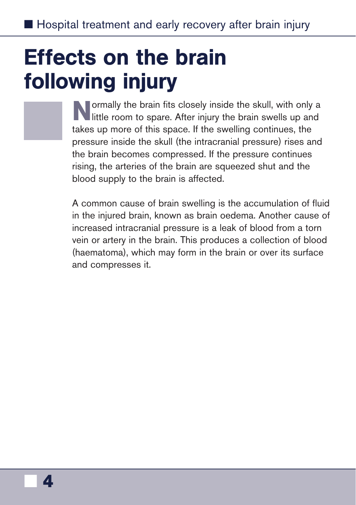# <span id="page-5-0"></span>Effects on the brain following injury

**Normally the brain fits closely inside the skull, with only a** little room to spare. After injury the brain swells up and takes up more of this space. If the swelling continues, the pressure inside the skull (the intracranial pressure) rises and the brain becomes compressed. If the pressure continues rising, the arteries of the brain are squeezed shut and the blood supply to the brain is affected.

A common cause of brain swelling is the accumulation of fluid in the injured brain, known as brain oedema. Another cause of increased intracranial pressure is a leak of blood from a torn vein or artery in the brain. This produces a collection of blood (haematoma), which may form in the brain or over its surface and compresses it.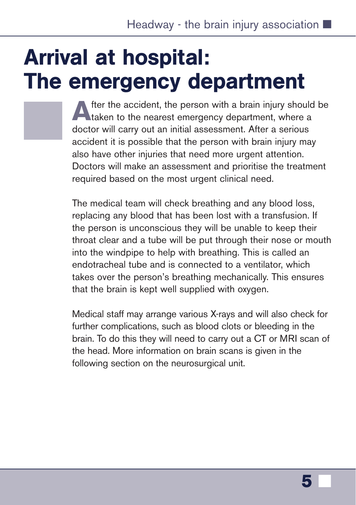# <span id="page-6-0"></span>Arrival at hospital: The emergency department

fter the accident, the person with a brain injury should be **taken to the nearest emergency department, where a** doctor will carry out an initial assessment. After a serious accident it is possible that the person with brain injury may also have other injuries that need more urgent attention. Doctors will make an assessment and prioritise the treatment required based on the most urgent clinical need.

The medical team will check breathing and any blood loss, replacing any blood that has been lost with a transfusion. If the person is unconscious they will be unable to keep their throat clear and a tube will be put through their nose or mouth into the windpipe to help with breathing. This is called an endotracheal tube and is connected to a ventilator, which takes over the person's breathing mechanically. This ensures that the brain is kept well supplied with oxygen.

Medical staff may arrange various X-rays and will also check for further complications, such as blood clots or bleeding in the brain. To do this they will need to carry out a CT or MRI scan of the head. More information on brain scans is given in the following section on the neurosurgical unit.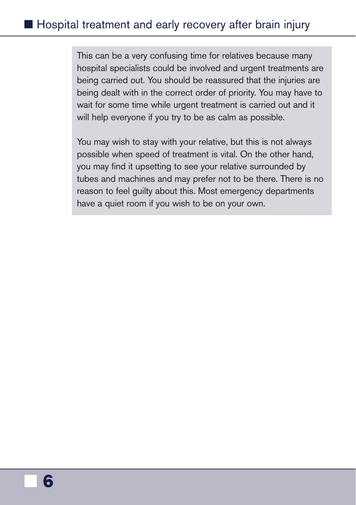■ **6**

This can be a very confusing time for relatives because many hospital specialists could be involved and urgent treatments are being carried out. You should be reassured that the injuries are being dealt with in the correct order of priority. You may have to wait for some time while urgent treatment is carried out and it will help everyone if you try to be as calm as possible.

You may wish to stay with your relative, but this is not always possible when speed of treatment is vital. On the other hand, you may find it upsetting to see your relative surrounded by tubes and machines and may prefer not to be there. There is no reason to feel guilty about this. Most emergency departments have a quiet room if you wish to be on your own.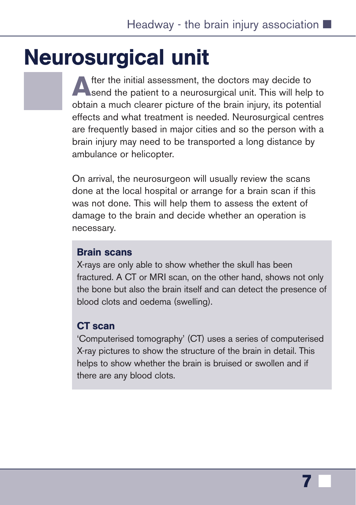# <span id="page-8-0"></span>Neurosurgical unit

**A**fter the initial assessment, the doctors may decide to send the patient to a neurosurgical unit. This will help to obtain a much clearer picture of the brain injury, its potential effects and what treatment is needed. Neurosurgical centres are frequently based in major cities and so the person with a brain injury may need to be transported a long distance by ambulance or helicopter.

On arrival, the neurosurgeon will usually review the scans done at the local hospital or arrange for a brain scan if this was not done. This will help them to assess the extent of damage to the brain and decide whether an operation is necessary.

### Brain scans

X-rays are only able to show whether the skull has been fractured. A CT or MRI scan, on the other hand, shows not only the bone but also the brain itself and can detect the presence of blood clots and oedema (swelling).

### CT scan

'Computerised tomography' (CT) uses a series of computerised X-ray pictures to show the structure of the brain in detail. This helps to show whether the brain is bruised or swollen and if there are any blood clots.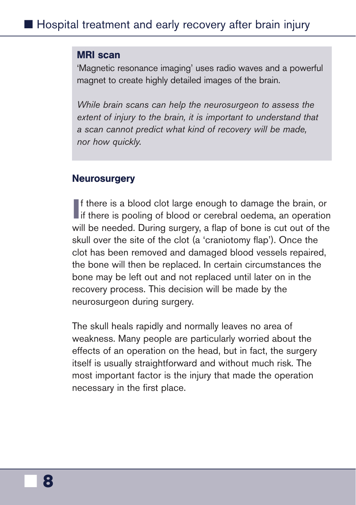#### MRI scan

'Magnetic resonance imaging' uses radio waves and a powerful magnet to create highly detailed images of the brain.

*While brain scans can help the neurosurgeon to assess the extent of injury to the brain, it is important to understand that a scan cannot predict what kind of recovery will be made, nor how quickly.*

#### **Neurosurgery**

If there is a blood clot large enough to damage the brain, or if there is pooling of blood or cerebral oedema, an operation **f** there is a blood clot large enough to damage the brain, or will be needed. During surgery, a flap of bone is cut out of the skull over the site of the clot (a 'craniotomy flap'). Once the clot has been removed and damaged blood vessels repaired, the bone will then be replaced. In certain circumstances the bone may be left out and not replaced until later on in the recovery process. This decision will be made by the neurosurgeon during surgery.

The skull heals rapidly and normally leaves no area of weakness. Many people are particularly worried about the effects of an operation on the head, but in fact, the surgery itself is usually straightforward and without much risk. The most important factor is the injury that made the operation necessary in the first place.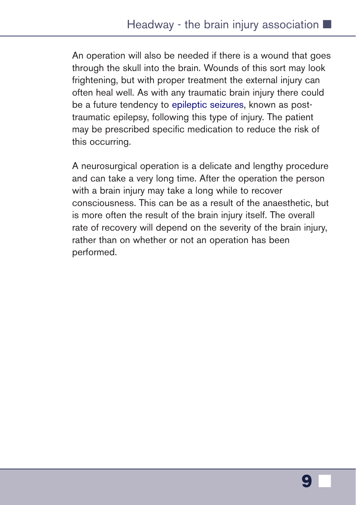An operation will also be needed if there is a wound that goes through the skull into the brain. Wounds of this sort may look frightening, but with proper treatment the external injury can often heal well. As with any traumatic brain injury there could be a future tendency to [epileptic seizures,](https://www.headway.org.uk/media/2800/epilepsy.pdf) known as posttraumatic epilepsy, following this type of injury. The patient may be prescribed specific medication to reduce the risk of this occurring.

A neurosurgical operation is a delicate and lengthy procedure and can take a very long time. After the operation the person with a brain injury may take a long while to recover consciousness. This can be as a result of the anaesthetic, but is more often the result of the brain injury itself. The overall rate of recovery will depend on the severity of the brain injury, rather than on whether or not an operation has been performed.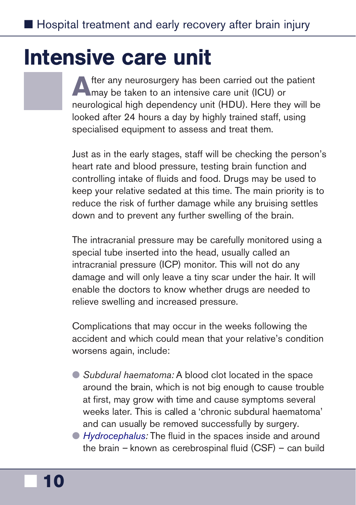## <span id="page-11-0"></span>Intensive care unit

■ **10**

**A**fter any neurosurgery has been carried out the patient<br>may be taken to an intensive care unit (ICU) or neurological high dependency unit (HDU). Here they will be looked after 24 hours a day by highly trained staff, using specialised equipment to assess and treat them.

Just as in the early stages, staff will be checking the person's heart rate and blood pressure, testing brain function and controlling intake of fluids and food. Drugs may be used to keep your relative sedated at this time. The main priority is to reduce the risk of further damage while any bruising settles down and to prevent any further swelling of the brain.

The intracranial pressure may be carefully monitored using a special tube inserted into the head, usually called an intracranial pressure (ICP) monitor. This will not do any damage and will only leave a tiny scar under the hair. It will enable the doctors to know whether drugs are needed to relieve swelling and increased pressure.

Complications that may occur in the weeks following the accident and which could mean that your relative's condition worsens again, include:

● *Subdural haematoma:* A blood clot located in the space around the brain, which is not big enough to cause trouble at first, may grow with time and cause symptoms several weeks later. This is called a 'chronic subdural haematoma' and can usually be removed successfully by surgery.

● *[Hydrocephalus:](https://www.headway.org.uk/about-brain-injury/individuals/types-of-brain-injury/hydrocephalus/)* The fluid in the spaces inside and around the brain – known as cerebrospinal fluid (CSF) – can build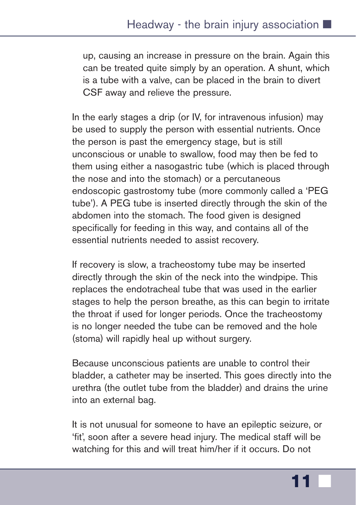up, causing an increase in pressure on the brain. Again this can be treated quite simply by an operation. A shunt, which is a tube with a valve, can be placed in the brain to divert CSF away and relieve the pressure.

In the early stages a drip (or IV, for intravenous infusion) may be used to supply the person with essential nutrients. Once the person is past the emergency stage, but is still unconscious or unable to swallow, food may then be fed to them using either a nasogastric tube (which is placed through the nose and into the stomach) or a percutaneous endoscopic gastrostomy tube (more commonly called a 'PEG tube'). A PEG tube is inserted directly through the skin of the abdomen into the stomach. The food given is designed specifically for feeding in this way, and contains all of the essential nutrients needed to assist recovery.

If recovery is slow, a tracheostomy tube may be inserted directly through the skin of the neck into the windpipe. This replaces the endotracheal tube that was used in the earlier stages to help the person breathe, as this can begin to irritate the throat if used for longer periods. Once the tracheostomy is no longer needed the tube can be removed and the hole (stoma) will rapidly heal up without surgery.

Because unconscious patients are unable to control their bladder, a catheter may be inserted. This goes directly into the urethra (the outlet tube from the bladder) and drains the urine into an external bag.

It is not unusual for someone to have an epileptic seizure, or 'fit', soon after a severe head injury. The medical staff will be watching for this and will treat him/her if it occurs. Do not

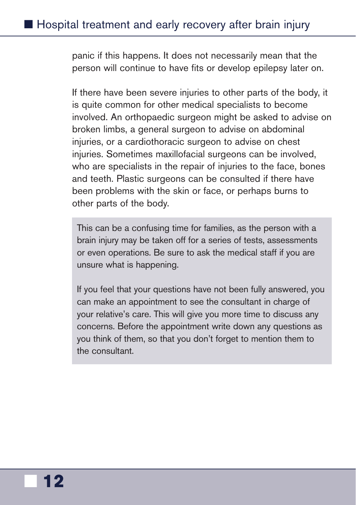panic if this happens. It does not necessarily mean that the person will continue to have fits or develop epilepsy later on.

If there have been severe injuries to other parts of the body, it is quite common for other medical specialists to become involved. An orthopaedic surgeon might be asked to advise on broken limbs, a general surgeon to advise on abdominal injuries, or a cardiothoracic surgeon to advise on chest injuries. Sometimes maxillofacial surgeons can be involved, who are specialists in the repair of injuries to the face, bones and teeth. Plastic surgeons can be consulted if there have been problems with the skin or face, or perhaps burns to other parts of the body.

This can be a confusing time for families, as the person with a brain injury may be taken off for a series of tests, assessments or even operations. Be sure to ask the medical staff if you are unsure what is happening.

If you feel that your questions have not been fully answered, you can make an appointment to see the consultant in charge of your relative's care. This will give you more time to discuss any concerns. Before the appointment write down any questions as you think of them, so that you don't forget to mention them to the consultant.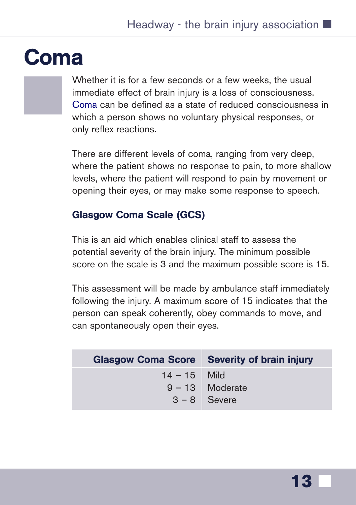## <span id="page-14-0"></span>Coma

Whether it is for a few seconds or a few weeks, the usual immediate effect of brain injury is a loss of consciousness. [Coma](https://www.headway.org.uk/about-brain-injury/individuals/effects-of-brain-injury/coma-and-reduced-awareness-states/) can be defined as a state of reduced consciousness in which a person shows no voluntary physical responses, or only reflex reactions.

There are different levels of coma, ranging from very deep, where the patient shows no response to pain, to more shallow levels, where the patient will respond to pain by movement or opening their eyes, or may make some response to speech.

### Glasgow Coma Scale (GCS)

This is an aid which enables clinical staff to assess the potential severity of the brain injury. The minimum possible score on the scale is 3 and the maximum possible score is 15.

This assessment will be made by ambulance staff immediately following the injury. A maximum score of 15 indicates that the person can speak coherently, obey commands to move, and can spontaneously open their eyes.

|                | <b>Glasgow Coma Score</b> Severity of brain injury |
|----------------|----------------------------------------------------|
| $14 - 15$ Mild | $9 - 13$ Moderate<br>$3 - 8$ Severe                |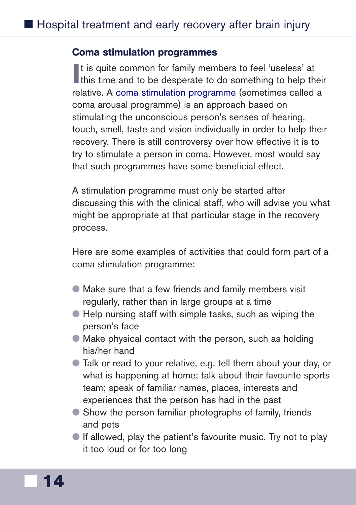### Coma stimulation programmes

It is quite common for family members to feel 'useless' at this time and to be desperate to do something to help the I this time and to be desperate to do something to help their relative. A [coma stimulation programme](https://www.headway.org.uk/media/2795/coma-stimulation-suggested-activities.pdf) (sometimes called a coma arousal programme) is an approach based on stimulating the unconscious person's senses of hearing, touch, smell, taste and vision individually in order to help their recovery. There is still controversy over how effective it is to try to stimulate a person in coma. However, most would say that such programmes have some beneficial effect.

A stimulation programme must only be started after discussing this with the clinical staff, who will advise you what might be appropriate at that particular stage in the recovery process.

Here are some examples of activities that could form part of a coma stimulation programme:

- Make sure that a few friends and family members visit regularly, rather than in large groups at a time
- Help nursing staff with simple tasks, such as wiping the person's face
- $\bullet$  Make physical contact with the person, such as holding his/her hand
- Talk or read to your relative, e.g. tell them about your day, or what is happening at home; talk about their favourite sports team; speak of familiar names, places, interests and experiences that the person has had in the past
- Show the person familiar photographs of family, friends and pets
- If allowed, play the patient's favourite music. Try not to play it too loud or for too long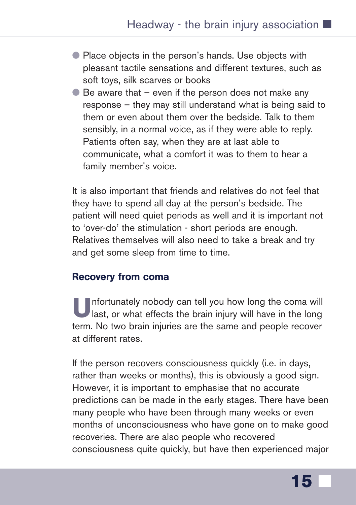- Place objects in the person's hands. Use objects with pleasant tactile sensations and different textures, such as soft toys, silk scarves or books
- $\bullet$  Be aware that even if the person does not make any response – they may still understand what is being said to them or even about them over the bedside. Talk to them sensibly, in a normal voice, as if they were able to reply. Patients often say, when they are at last able to communicate, what a comfort it was to them to hear a family member's voice.

It is also important that friends and relatives do not feel that they have to spend all day at the person's bedside. The patient will need quiet periods as well and it is important not to 'over-do' the stimulation - short periods are enough. Relatives themselves will also need to take a break and try and get some sleep from time to time.

### Recovery from coma

Unfortunately nobody can tell you how long the coma will last, or what effects the brain injury will have in the long term. No two brain injuries are the same and people recover at different rates.

If the person recovers consciousness quickly (i.e. in days, rather than weeks or months), this is obviously a good sign. However, it is important to emphasise that no accurate predictions can be made in the early stages. There have been many people who have been through many weeks or even months of unconsciousness who have gone on to make good recoveries. There are also people who recovered consciousness quite quickly, but have then experienced major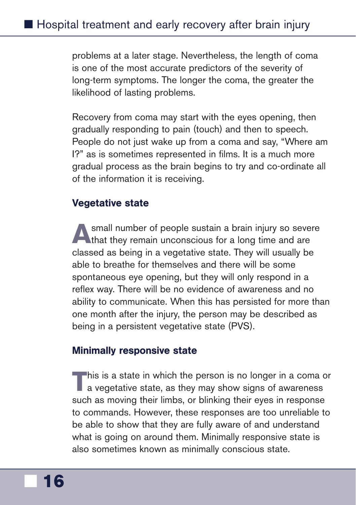problems at a later stage. Nevertheless, the length of coma is one of the most accurate predictors of the severity of long-term symptoms. The longer the coma, the greater the likelihood of lasting problems.

Recovery from coma may start with the eyes opening, then gradually responding to pain (touch) and then to speech. People do not just wake up from a coma and say, "Where am I?" as is sometimes represented in films. It is a much more gradual process as the brain begins to try and co-ordinate all of the information it is receiving.

### Vegetative state

**A** small number of people sustain a brain injury so severe<br>that they remain unconscious for a long time and are classed as being in a vegetative state. They will usually be able to breathe for themselves and there will be some spontaneous eye opening, but they will only respond in a reflex way. There will be no evidence of awareness and no ability to communicate. When this has persisted for more than one month after the injury, the person may be described as being in a persistent vegetative state (PVS).

### Minimally responsive state

**T**his is a state in which the person is no longer in a coma or a vegetative state, as they may show signs of awareness such as moving their limbs, or blinking their eyes in response to commands. However, these responses are too unreliable to be able to show that they are fully aware of and understand what is going on around them. Minimally responsive state is also sometimes known as minimally conscious state.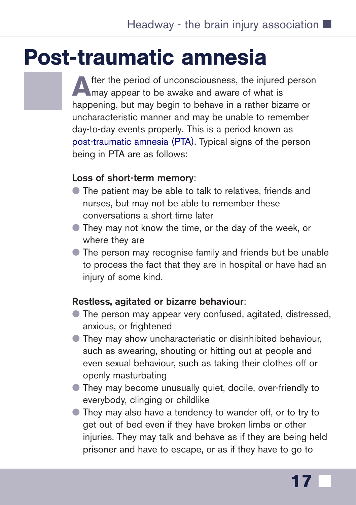## <span id="page-18-0"></span>Post-traumatic amnesia

**A** fter the period of unconsciousness, the injured person<br>may appear to be awake and aware of what is happening, but may begin to behave in a rather bizarre or uncharacteristic manner and may be unable to remember day-to-day events properly. This is a period known as [post-traumatic amnesia \(PTA\).](https://www.headway.org.uk/about-brain-injury/individuals/effects-of-brain-injury/post-traumatic-amnesia/) Typical signs of the person being in PTA are as follows:

### **Loss of short-term memory**:

- The patient may be able to talk to relatives, friends and nurses, but may not be able to remember these conversations a short time later
- They may not know the time, or the day of the week, or where they are
- The person may recognise family and friends but be unable to process the fact that they are in hospital or have had an injury of some kind.

### **Restless, agitated or bizarre behaviour**:

- The person may appear very confused, agitated, distressed, anxious, or frightened
- They may show uncharacteristic or disinhibited behaviour, such as swearing, shouting or hitting out at people and even sexual behaviour, such as taking their clothes off or openly masturbating
- They may become unusually quiet, docile, over-friendly to everybody, clinging or childlike
- They may also have a tendency to wander off, or to try to get out of bed even if they have broken limbs or other injuries. They may talk and behave as if they are being held prisoner and have to escape, or as if they have to go to

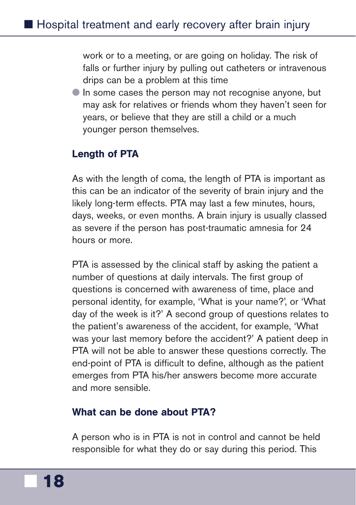work or to a meeting, or are going on holiday. The risk of falls or further injury by pulling out catheters or intravenous drips can be a problem at this time

 $\bullet$  In some cases the person may not recognise anyone, but may ask for relatives or friends whom they haven't seen for years, or believe that they are still a child or a much younger person themselves.

### Length of PTA

As with the length of coma, the length of PTA is important as this can be an indicator of the severity of brain injury and the likely long-term effects. PTA may last a few minutes, hours, days, weeks, or even months. A brain injury is usually classed as severe if the person has post-traumatic amnesia for 24 hours or more.

PTA is assessed by the clinical staff by asking the patient a number of questions at daily intervals. The first group of questions is concerned with awareness of time, place and personal identity, for example, 'What is your name?', or 'What day of the week is it?' A second group of questions relates to the patient's awareness of the accident, for example, 'What was your last memory before the accident?' A patient deep in PTA will not be able to answer these questions correctly. The end-point of PTA is difficult to define, although as the patient emerges from PTA his/her answers become more accurate and more sensible.

### What can be done about PTA?

A person who is in PTA is not in control and cannot be held responsible for what they do or say during this period. This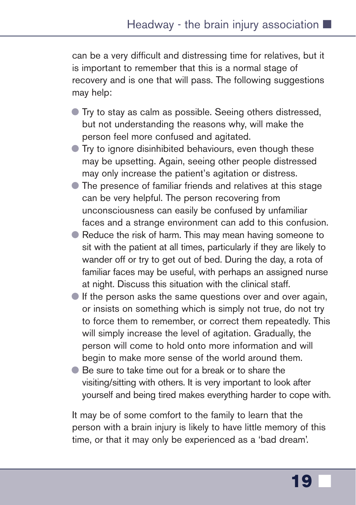can be a very difficult and distressing time for relatives, but it is important to remember that this is a normal stage of recovery and is one that will pass. The following suggestions may help:

- Try to stay as calm as possible. Seeing others distressed, but not understanding the reasons why, will make the person feel more confused and agitated.
- Try to ignore disinhibited behaviours, even though these may be upsetting. Again, seeing other people distressed may only increase the patient's agitation or distress.
- The presence of familiar friends and relatives at this stage can be very helpful. The person recovering from unconsciousness can easily be confused by unfamiliar faces and a strange environment can add to this confusion.
- Reduce the risk of harm. This may mean having someone to sit with the patient at all times, particularly if they are likely to wander off or try to get out of bed. During the day, a rota of familiar faces may be useful, with perhaps an assigned nurse at night. Discuss this situation with the clinical staff.
- If the person asks the same questions over and over again, or insists on something which is simply not true, do not try to force them to remember, or correct them repeatedly. This will simply increase the level of agitation. Gradually, the person will come to hold onto more information and will begin to make more sense of the world around them.
- Be sure to take time out for a break or to share the visiting/sitting with others. It is very important to look after yourself and being tired makes everything harder to cope with.

It may be of some comfort to the family to learn that the person with a brain injury is likely to have little memory of this time, or that it may only be experienced as a 'bad dream'.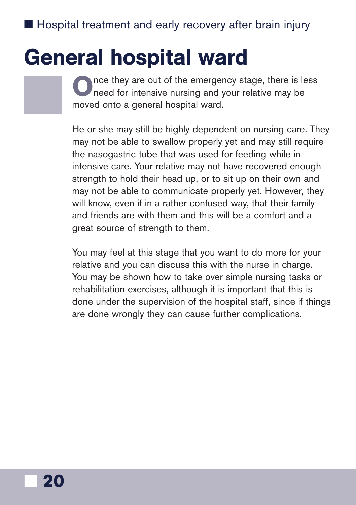# <span id="page-21-0"></span>General hospital ward

nce they are out of the emergency stage, there is less need for intensive nursing and your relative may be moved onto a general hospital ward.

He or she may still be highly dependent on nursing care. They may not be able to swallow properly yet and may still require the nasogastric tube that was used for feeding while in intensive care. Your relative may not have recovered enough strength to hold their head up, or to sit up on their own and may not be able to communicate properly yet. However, they will know, even if in a rather confused way, that their family and friends are with them and this will be a comfort and a great source of strength to them.

You may feel at this stage that you want to do more for your relative and you can discuss this with the nurse in charge. You may be shown how to take over simple nursing tasks or rehabilitation exercises, although it is important that this is done under the supervision of the hospital staff, since if things are done wrongly they can cause further complications.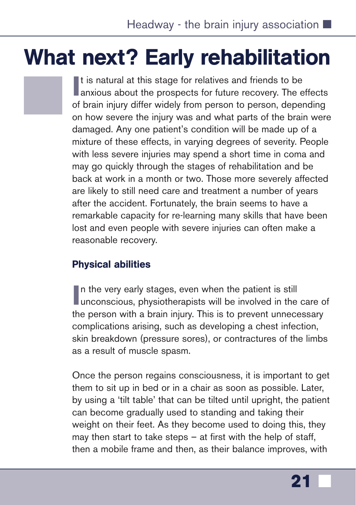# <span id="page-22-0"></span>What next? Early rehabilitation

It is natural at this stage for relatives and friends to be anxious about the prospects for future recovery. The effects It is natural at this stage for relatives and friends to be of brain injury differ widely from person to person, depending on how severe the injury was and what parts of the brain were damaged. Any one patient's condition will be made up of a mixture of these effects, in varying degrees of severity. People with less severe injuries may spend a short time in coma and may go quickly through the stages of rehabilitation and be back at work in a month or two. Those more severely affected are likely to still need care and treatment a number of years after the accident. Fortunately, the brain seems to have a remarkable capacity for re-learning many skills that have been lost and even people with severe injuries can often make a reasonable recovery.

### Physical abilities

In the very early stages, even when the patient is still unconscious, physiotherapists will be involved in the care of In the very early stages, even when the patient is still the person with a brain injury. This is to prevent unnecessary complications arising, such as developing a chest infection, skin breakdown (pressure sores), or contractures of the limbs as a result of muscle spasm.

Once the person regains consciousness, it is important to get them to sit up in bed or in a chair as soon as possible. Later, by using a 'tilt table' that can be tilted until upright, the patient can become gradually used to standing and taking their weight on their feet. As they become used to doing this, they may then start to take steps  $-$  at first with the help of staff, then a mobile frame and then, as their balance improves, with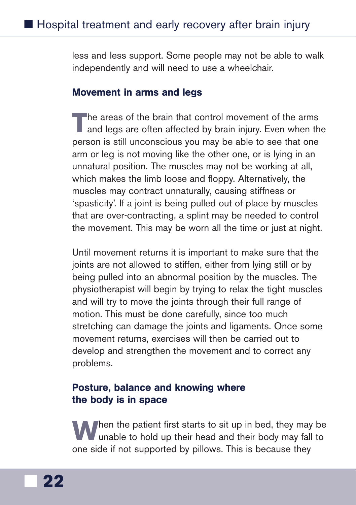less and less support. Some people may not be able to walk independently and will need to use a wheelchair.

### Movement in arms and legs

The areas of the brain that control movement of the arms<br>and legs are often affected by brain injury. Even when the person is still unconscious you may be able to see that one arm or leg is not moving like the other one, or is lying in an unnatural position. The muscles may not be working at all, which makes the limb loose and floppy. Alternatively, the muscles may contract unnaturally, causing stiffness or 'spasticity'. If a joint is being pulled out of place by muscles that are over-contracting, a splint may be needed to control the movement. This may be worn all the time or just at night.

Until movement returns it is important to make sure that the joints are not allowed to stiffen, either from lying still or by being pulled into an abnormal position by the muscles. The physiotherapist will begin by trying to relax the tight muscles and will try to move the joints through their full range of motion. This must be done carefully, since too much stretching can damage the joints and ligaments. Once some movement returns, exercises will then be carried out to develop and strengthen the movement and to correct any problems.

### Posture, balance and knowing where the body is in space

When the patient first starts to sit up in bed, they may be unable to hold up their head and their body may fall to one side if not supported by pillows. This is because they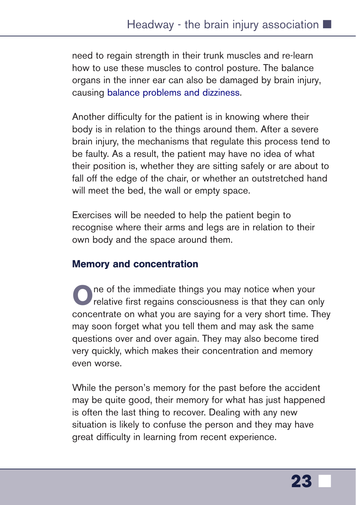need to regain strength in their trunk muscles and re-learn how to use these muscles to control posture. The balance organs in the inner ear can also be damaged by brain injury, causing [balance problems and dizziness](https://www.headway.org.uk/media/2786/balance-problems-and-dizziness-after-brain-injury-causes-and-treatment.pdf).

Another difficulty for the patient is in knowing where their body is in relation to the things around them. After a severe brain injury, the mechanisms that regulate this process tend to be faulty. As a result, the patient may have no idea of what their position is, whether they are sitting safely or are about to fall off the edge of the chair, or whether an outstretched hand will meet the bed, the wall or empty space.

Exercises will be needed to help the patient begin to recognise where their arms and legs are in relation to their own body and the space around them.

### Memory and concentration

**O**ne of the immediate things you may notice when your<br>relative first regains consciousness is that they can only concentrate on what you are saying for a very short time. They may soon forget what you tell them and may ask the same questions over and over again. They may also become tired very quickly, which makes their concentration and memory even worse.

While the person's memory for the past before the accident may be quite good, their memory for what has just happened is often the last thing to recover. Dealing with any new situation is likely to confuse the person and they may have great difficulty in learning from recent experience.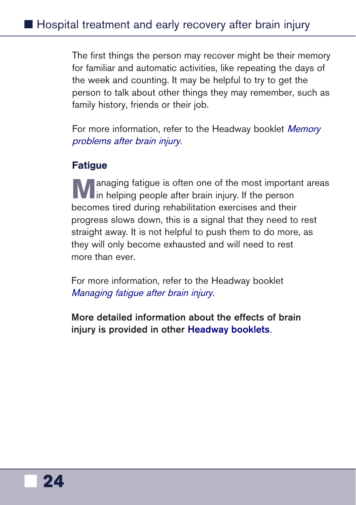The first things the person may recover might be their memory for familiar and automatic activities, like repeating the days of the week and counting. It may be helpful to try to get the person to talk about other things they may remember, such as family history, friends or their job.

For more information, refer to the Headway booklet Memory [problems after brain injury](https://shop.headway.org.uk/shop/memory-problems-after-brain-injury/c-24/p-242).

### **Fatique**

anaging fatigue is often one of the most important areas  $\Box$  in helping people after brain injury. If the person becomes tired during rehabilitation exercises and their progress slows down, this is a signal that they need to rest straight away. It is not helpful to push them to do more, as they will only become exhausted and will need to rest more than ever.

For more information, refer to the Headway booklet [Managing fatigue after brain injury](https://shop.headway.org.uk/shop/managing-fatigue-after-brain-injury/c-24/p-241).

**More detailed information about the effects of brain injury is provided in other [Headway booklets](www.headway.org.uk/about-brain-injury/individuals/information-library)**.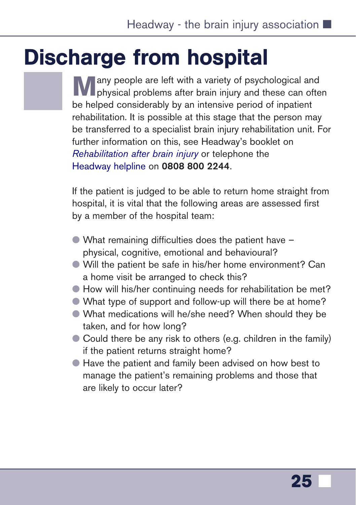# <span id="page-26-0"></span>Discharge from hospital

**M**any people are left with a variety of psychological and physical problems after brain injury and these can often be helped considerably by an intensive period of inpatient rehabilitation. It is possible at this stage that the person may be transferred to a specialist brain injury rehabilitation unit. For further information on this, see Headway's booklet on *[Rehabilitation after brain](https://shop.headway.org.uk/shop/rehabilitation-after-brain-injury/c-24/p-251) injury* or telephone the [Headway](https://www.headway.org.uk/supporting-you/helpline/) helpline on **0808 800 2244**.

If the patient is judged to be able to return home straight from hospital, it is vital that the following areas are assessed first by a member of the hospital team:

- What remaining difficulties does the patient have physical, cognitive, emotional and behavioural?
- Will the patient be safe in his/her home environment? Can a home visit be arranged to check this?
- How will his/her continuing needs for rehabilitation be met?
- What type of support and follow-up will there be at home?
- What medications will he/she need? When should they be taken, and for how long?
- Could there be any risk to others (e.g. children in the family) if the patient returns straight home?
- Have the patient and family been advised on how best to manage the patient's remaining problems and those that are likely to occur later?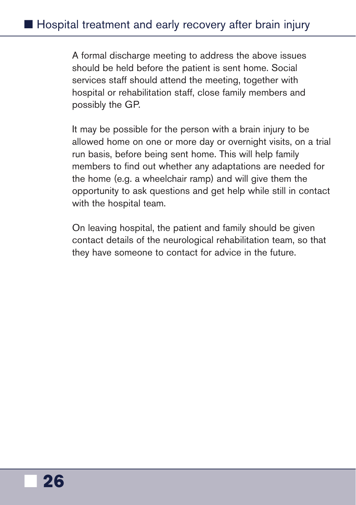A formal discharge meeting to address the above issues should be held before the patient is sent home. Social services staff should attend the meeting, together with hospital or rehabilitation staff, close family members and possibly the GP.

It may be possible for the person with a brain injury to be allowed home on one or more day or overnight visits, on a trial run basis, before being sent home. This will help family members to find out whether any adaptations are needed for the home (e.g. a wheelchair ramp) and will give them the opportunity to ask questions and get help while still in contact with the hospital team.

On leaving hospital, the patient and family should be given contact details of the neurological rehabilitation team, so that they have someone to contact for advice in the future.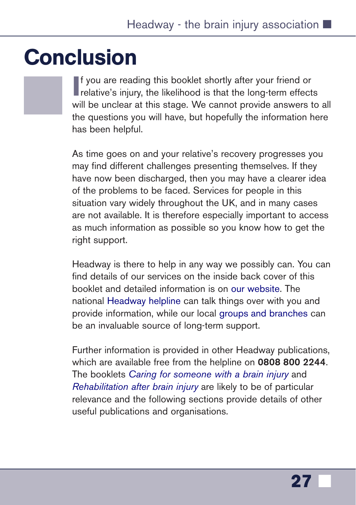## <span id="page-28-0"></span>**Conclusion**

**I**f you are reading this booklet shortly after your friend or relative's injury, the likelihood is that the long-term effects **f** you are reading this booklet shortly after your friend or will be unclear at this stage. We cannot provide answers to all the questions you will have, but hopefully the information here has been helpful.

As time goes on and your relative's recovery progresses you may find different challenges presenting themselves. If they have now been discharged, then you may have a clearer idea of the problems to be faced. Services for people in this situation vary widely throughout the UK, and in many cases are not available. It is therefore especially important to access as much information as possible so you know how to get the right support.

Headway is there to help in any way we possibly can. You can find details of our services on the inside back cover of this booklet and detailed information is o[n our website.](www.headway.org.uk) The national [Headway](https://www.headway.org.uk/supporting-you/helpline/) helpline can talk things over with you and provide information, while our local groups [and branches](https://www.headway.org.uk/supporting-you/in-your-area/groups-and-branches/) can be an invaluable source of long-term support.

Further information is provided in other Headway publications, which are available free from the helpline on **0808 800 2244**. The booklets *[Caring for someone with a brain injury](https://shop.headway.org.uk/shop/caring-for-someone-with-a-brain-injury/c-24/p-229)* and *[Rehabilitation](https://shop.headway.org.uk/shop/rehabilitation-after-brain-injury/c-24/p-251) after brain injury* are likely to be of particular relevance and the following sections provide details of other useful publications and organisations.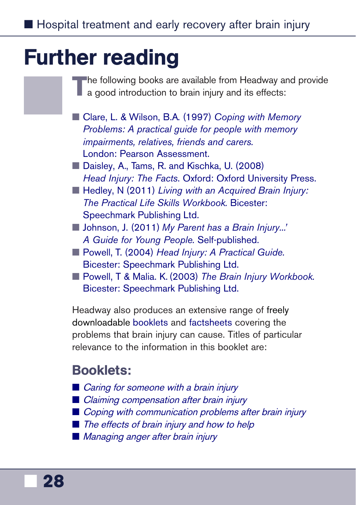## <span id="page-29-0"></span>Further reading

The following books are available from Headway and provide a good introduction to brain injury and its effects:

- Clare, L. & Wilson, B.A. (1997) *Coping with Memory [Problems: A practical guide for people with memory](https://shop.headway.org.uk/shop/coping-with-memory-problems/c-24/p-234) impairments, relatives, friends and carers.* London: Pearson Assessment.
- [Daisley, A., Tams, R. and Kischka, U. \(2008\)](https://shop.headway.org.uk/shop/head-injury-the-facts/c-24/p-237) *Head Injury: The Facts*. Oxford: Oxford University Press.
- Hedley, N (2011) *[Living with an Acquired Brain Injury:](https://shop.headway.org.uk/shop/living-with-an-acquired-brain-injury/c-24/p-239) The Practical Life Skills Workbook.* Bicester: Speechmark Publishing Ltd.
- Johnson, J. (2011) *[My Parent has a Brain Injury...'](https://shop.headway.org.uk/shop/my-parent-has-a-brain-injury/c-24/p-247) A Guide for Young People.* Self-published.
- Powell, T. (2004) *[Head Injury: A Practical Guide.](https://shop.headway.org.uk/shop/head-injury-a-practical-guide/c-24/p-236)* Bicester: Speechmark Publishing Ltd.
- Powell, T & Malia. K. (2003) *The Brain Injury Workbook.* [Bicester: Speechmark Publishing Ltd.](https://shop.headway.org.uk/shop/the-brain-injury-workbook/c-24/p-253)

Headway also produces an extensive range of freely downloadable [booklets a](www.headway.org.uk/about-brain-injury/individuals/information-library)nd [factsheets](www.headway.org.uk/about-brain-injury/individuals/information-library) covering the problems that brain injury can cause. Titles of particular relevance to the information in this booklet are:

### Booklets:

- *[Caring for someone with a brain injury](https://shop.headway.org.uk/shop/caring-for-someone-with-a-brain-injury/c-24/p-229)*
- [Claiming compensation after brain injury](https://shop.headway.org.uk/shop/claiming-compensation-after-brain-injury/c-24/p-230)
- [Coping with communication problems after brain injury](https://shop.headway.org.uk/shop/coping-with-communication-problems-after-brain-injury/c-24/p-233)
- [The effects of brain injury and how to help](https://shop.headway.org.uk/shop/the-effects-of-brain-injury-and-how-to-help/c-24/p-263)
- Managing anger after brain injury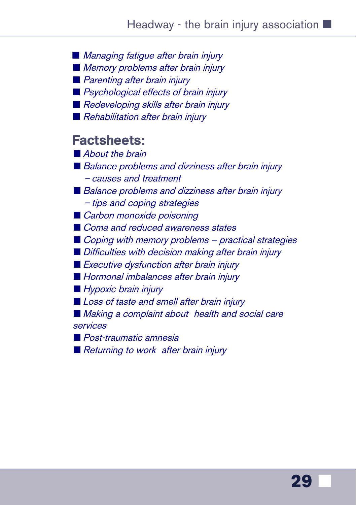- [Managing fatigue after brain injury](https://shop.headway.org.uk/shop/managing-fatigue-after-brain-injury/c-24/p-241)
- [Memory problems after brain injury](https://shop.headway.org.uk/shop/memory-problems-after-brain-injury/c-24/p-242)
- [Parenting after brain injury](https://shop.headway.org.uk/shop/parenting-after-brain-injury/c-24/p-248)
- [Psychological effects of brain injury](https://shop.headway.org.uk/shop/psychological-effects-of-brain-injury/c-24/p-249)
- [Redeveloping skills after brain injury](https://shop.headway.org.uk/shop/redeveloping-skills-after-brain-injury/c-24/p-250)
- Rehabilitation after brain injury

### Factsheets:

■ [About the brain](https://www.headway.org.uk/media/3875/about-the-brain.pdf) ■ [Balance problems and dizziness after brain injury](https://www.headway.org.uk/media/2786/balance-problems-and-dizziness-after-brain-injury-causes-and-treatment.pdf) *–* causes and treatment ■ [Balance problems and dizziness after brain injury](https://www.headway.org.uk/media/2787/balance-problems-and-dizziness-after-brain-injury-tips-and-coping-strategies.pdf) *–* tips and coping strategies ■ [Carbon monoxide poisoning](https://www.headway.org.uk/media/2793/carbon-monoxide-poisoning.pdf) ■ [Coma and reduced awareness states](https://www.headway.org.uk/media/2794/coma-and-reduced-awareness-states.pdf)  $\Box$  [Coping with memory problems – practical strategies](https://www.headway.org.uk/media/2797/coping-with-memory-problems-practical-strategies-2.pdf) ■ [Difficulties with decision making after brain injury](https://www.headway.org.uk/media/2798/difficulties-with-decision-making-after-brain-injury.pdf) ■ [Executive dysfunction after brain injury](https://www.headway.org.uk/media/2801/executive-dysfunction-after-brain-injury.pdf) ■ [Hormonal imbalances after brain injury](https://www.headway.org.uk/media/2803/hormonal-imbalances-after-brain-injury.pdf) ■ [Hypoxic brain injury](https://www.headway.org.uk/media/2804/hypoxic-brain-injury.pdf) ■ [Loss of taste and smell after brain injury](https://www.headway.org.uk/media/2805/loss-of-taste-and-smell-after-brain-injury.pdf) ■ [Making a complaint about](https://www.headway.org.uk/media/2806/making-a-complaint-about-health-and-social-care-services.pdf) health and social care services ■ [Post-traumatic amnesia](https://www.headway.org.uk/media/2815/post-traumatic-amnesia.pdf) ■ [Returning to work](https://www.headway.org.uk/media/2818/returning-to-work-after-brain-injury.pdf) after brain injury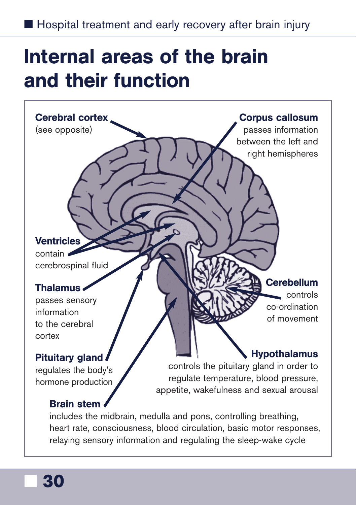## <span id="page-31-0"></span>Internal areas of the brain and their function



### regulates the body's

hormone production

controls the pituitary gland in order to regulate temperature, blood pressure, appetite, wakefulness and sexual arousal

### Brain stem

includes the midbrain, medulla and pons, controlling breathing, heart rate, consciousness, blood circulation, basic motor responses, relaying sensory information and regulating the sleep-wake cycle

■ **30**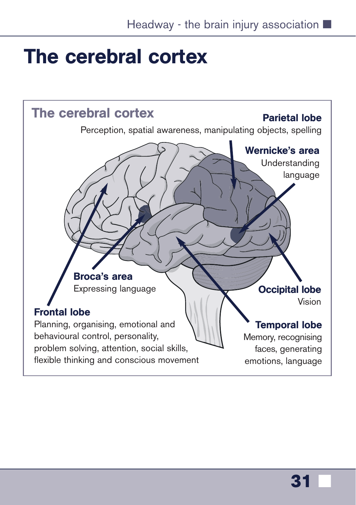## <span id="page-32-0"></span>The cerebral cortex

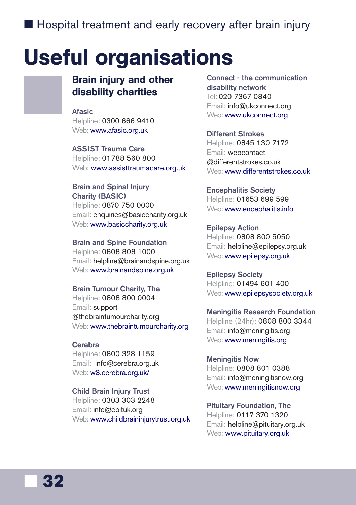# <span id="page-33-0"></span>Useful organisations

### Brain injury and other disability charities

#### **Afasic**

Helpline: 0300 666 9410 Web: [www.afasic.org.uk](http://www.afasic.org.uk/)

**ASSIST Trauma Care** Helpline: 01788 560 800 Web: [www.assisttraumacare.org.uk](http://assisttraumacare.org.uk/)

**Brain and Spinal Injury Charity (BASIC)** Helpline: 0870 750 0000 Email: enquiries@basiccharity.org.uk Web: www.basiccharity.org.uk

**Brain and Spine Foundation** Helpline: 0808 808 1000 Email: helpline@brainandspine.org.uk Web: [www.brainandspine.org.uk](http://www.brainandspine.org.uk/) 

**Brain Tumour Charity, The**  Helpline: 0808 800 0004 Email: support @thebraintumourcharity.org Web: [www.thebraintumourcharity.org](https://www.thebraintumourcharity.org/)

#### **Cerebra**

Helpline: 0800 328 1159 Email: info@cerebra.org.uk Web: [w3.cerebra.org.uk/](http://w3.cerebra.org.uk/)

**Child Brain Injury Trust** Helpline: 0303 303 2248 Email: info@cbituk.org Web: [www.childbraininjurytrust.org.uk](http://childbraininjurytrust.org.uk/) **Connect - the communication disability network** Tel: 020 7367 0840 Email: info@ukconnect.org Web: [www.ukconnect.org](http://www.ukconnect.org/)

#### **Different Strokes**

Helpline: 0845 130 7172 Email: webcontact @differentstrokes.co.uk Web: [www.differentstrokes.co.uk](http://www.differentstrokes.co.uk/)

**Encephalitis Society**  Helpline: 01653 699 599 Web: www.encephalitis.info

**Epilepsy Action**  Helpline: 0808 800 5050 Email: helpline@epilepsy.org.uk Web: [www.epilepsy.org.uk](https://www.epilepsy.org.uk/) 

**Epilepsy Society** Helpline: 01494 601 400 Web: www.epilepsysociety.org.uk

**Meningitis Research Foundation**  Helpline (24hr): 0808 800 3344 Email: info@meningitis.org Web: www.meningitis.org

**Meningitis Now** Helpline: 0808 801 0388 Email: info@meningitisnow.org Web: [www.meningitisnow.org](https://www.meningitisnow.org/)

**Pituitary Foundation, The** Helpline: 0117 370 1320 Email: helpline@pituitary.org.uk Web: [www.pituitary.org.uk](http://www.pituitary.org.uk/)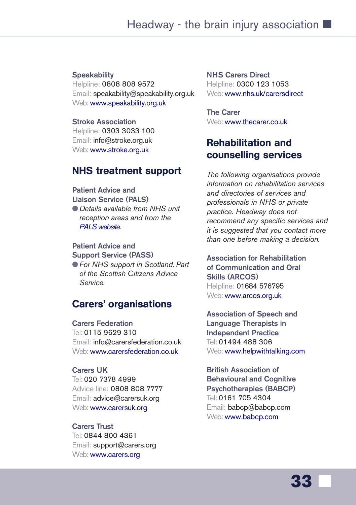#### **Speakability**

Helpline: 0808 808 9572 Email: speakability@speakability.org.uk Web: [www.speakability.org.uk](http://www.speakability.org.uk/)

#### **Stroke Association**

Helpline: 0303 3033 100 Email: info@stroke.org.uk Web: [www.stroke.org.uk](https://www.stroke.org.uk/) 

### NHS treatment support

#### **Patient Advice and**

**Liaison Service (PALS)** ● *Details available from NHS unit reception areas and from the [PALS website.](http://www.nhs.uk/Service-Search/Patient%20advice%20and%20liaison%20services%20(PALS)/LocationSearch/363)*

#### **Patient Advice and Support Service (PASS)**

●*For NHS support in Scotland. Part of the Scottish Citizens Advice Service.*

### Carers' organisations

#### **Carers Federation**

Tel: 0115 9629 310 Email: info@carersfederation.co.uk Web: www.carersfederation.co.uk

#### **Carers UK**

Tel: 020 7378 4999 Advice line: 0808 808 7777 Email: advice@carersuk.org Web: [www.carersuk.org](http://www.carersuk.org/) 

#### **Carers Trust**

Tel: 0844 800 4361 Email: support@carers.org Web: [www.carers.org](https://www.carers.org/)

**NHS Carers Direct**  Helpline: 0300 123 1053 Web: www.nhs.uk/carersdirect

**The Carer** Web: www.thecarer.co.uk

### Rehabilitation and counselling services

*The following organisations provide information on rehabilitation services and directories of services and professionals in NHS or private practice. Headway does not recommend any specific services and it is suggested that you contact more than one before making a decision.*

**Association for Rehabilitation of Communication and Oral Skills (ARCOS)** Helpline: 01684 576795 Web: [www.arcos.org.uk](http://arcos.org.uk/) 

**Association of Speech and Language Therapists in Independent Practice** Tel: 01494 488 306 Web: [www.helpwithtalking.com](http://www.helpwithtalking.com/Default.aspx)

**British Association of Behavioural and Cognitive Psychotherapies (BABCP)** Tel: 0161 705 4304 Email: babcp@babcp.com Web: [www.babcp.com](http://www.babcp.com/Default.aspx)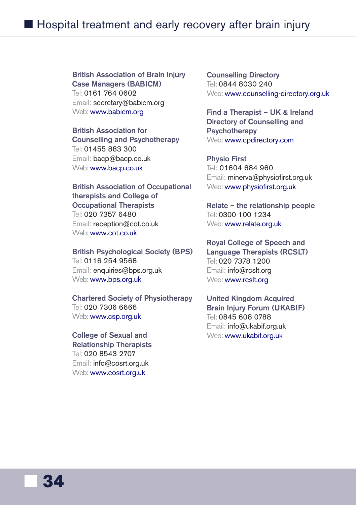**British Association of Brain Injury Case Managers (BABICM)** Tel: 0161 764 0602 Email: secretary@babicm.org Web: [www.babicm.org](http://www.babicm.org/)

**British Association for Counselling and Psychotherapy** Tel: 01455 883 300 Email: bacp@bacp.co.uk Web: [www.bacp.co.uk](http://www.bacp.co.uk/)

**British Association of Occupational therapists and College of Occupational Therapists** Tel: 020 7357 6480 Email: reception@cot.co.uk Web: [www.cot.co.uk](https://www.cot.co.uk/) 

**British Psychological Society (BPS)** Tel: 0116 254 9568 Email: enquiries@bps.org.uk Web: [www.bps.org.uk](http://www.bps.org.uk/) 

**Chartered Society of Physiotherapy** Tel: 020 7306 6666 Web: [www.csp.org.uk](http://www.csp.org.uk/)

**College of Sexual and Relationship Therapists** Tel: 020 8543 2707

Email: info@cosrt.org.uk Web: [www.cosrt.org.uk](http://www.cosrt.org.uk/)

**Counselling Directory** Tel: 0844 8030 240 Web: www.counselling-directory.org.uk

**Find a Therapist – UK & Ireland Directory of Counselling and Psychotherapy** Web: [www.cpdirectory.com](http://counsellor.directory/cgi-bin/cd_index.pl) 

**Physio First** Tel: 01604 684 960 Email: minerva@physiofirst.org.uk Web: [www.physiofirst.org.uk](http://www.physiofirst.org.uk/)

**Relate – the relationship people** Tel: 0300 100 1234 Web: [www.relate.org.uk](http://www.relate.org.uk/) 

**Royal College of Speech and Language Therapists (RCSLT)** Tel: 020 7378 1200 Email: info@rcslt.org Web: [www.rcslt.org](http://www.rcslt.org/)

**United Kingdom Acquired Brain Injury Forum (UKABIF)** Tel: 0845 608 0788 Email: info@ukabif.org.uk Web: [www.ukabif.org.uk](http://ukabif.org.uk/)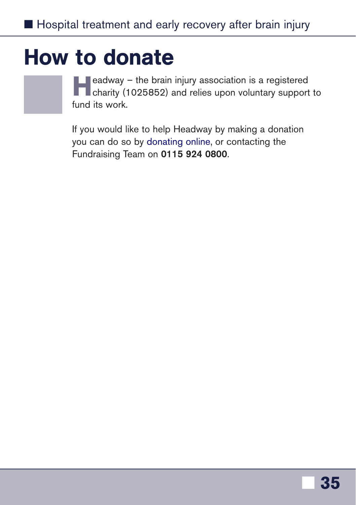# <span id="page-36-0"></span>How to donate

**Headway – the brain injury association is a registered charity (1025852) and relies upon voluntary support to** fund its work.

If you would like to help Headway by making a donation you can do so by [donating online,](https://www.headway.org.uk/donate/) or contacting the Fundraising Team on **0115 924 0800**.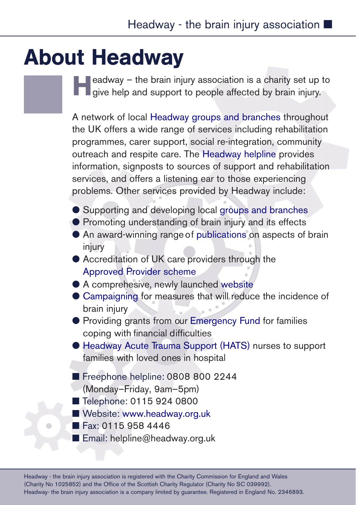# <span id="page-37-0"></span>About Headway

**Headway – the brain injury association is a charity set up to give help and support to people affected by brain injury.** 

A network of local [Headway groups and branches](https://www.headway.org.uk/supporting-you/in-your-area/groups-and-branches/) throughout the UK offers a wide range of services including rehabilitation programmes, carer support, social re-integration, community outreach and respite care. The [Headway helpline](https://www.headway.org.uk/supporting-you/helpline/) provides information, signposts to sources of support and rehabilitation services, and offers a listening ear to those experiencing problems. Other services provided by Headway include:

- Supporting and developing local [groups and branches](https://www.headway.org.uk/supporting-you/in-your-area/groups-and-branches/)
- Promoting understanding of brain injury and its effects
- An award-winning range of [publications](www.headway.org.uk/about-brain-injury/individuals/information-library) on aspects of brain injury
- Accreditation of UK care providers through the Approved [Provider scheme](https://www.headway.org.uk/supporting-you/in-your-area/approved-care-providers/)
- A comprehesive, newly launched [website](https://www.headway.org.uk/)
- [Campaigning](https://www.headway.org.uk/get-involved/campaigns/) for measures that will reduce the incidence of brain injury
- Providing grants from our [Emergency Fund](https://www.headway.org.uk/supporting-you/headway-emergency-fund/) for families coping with financial difficulties
- [Headway Acute Trauma Support \(HATS\)](https://www.headway.org.uk/supporting-you/headway-acute-trauma-support/) nurses to support families with loved ones in hospital
- Freephone helpline: 0808 800 2244
- (Monday–Friday, 9am–5pm)
- Telephone: 0115 924 0800
- Website: [www.headway.org.uk](https://www.headway.org.uk/)
- Fax: 0115 958 4446
	- Email: helpline@headway.org.uk